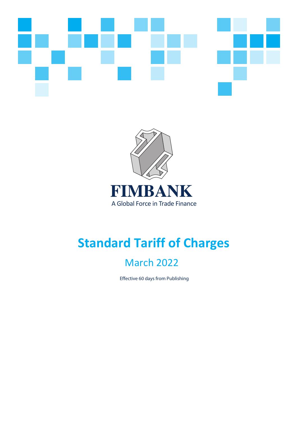



# **Standard Tariff of Charges**

## March 2022

Effective 60 days from Publishing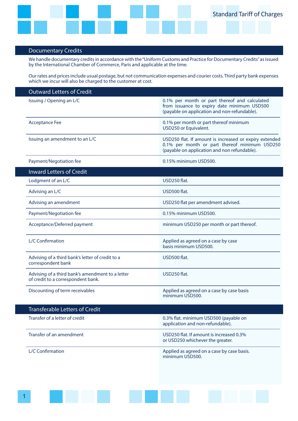

### Documentary Credits

We handle documentary credits in accordance with the "Uniform Customs and Practice for Documentary Credits" as issued by the International Chamber of Commerce, Paris and applicable at the time.

Our rates and prices include usual postage, but not communication expenses and courier costs. Third party bank expenses which we incur will also be charged to the customer at cost.

| <b>Outward Letters of Credit</b>                                                       |                                                                                                                                                         |
|----------------------------------------------------------------------------------------|---------------------------------------------------------------------------------------------------------------------------------------------------------|
| Issuing / Opening an L/C                                                               | 0.1% per month or part thereof and calculated<br>from issuance to expiry date minimum USD500<br>(payable on application and non-refundable).            |
| <b>Acceptance Fee</b>                                                                  | 0.1% per month or part thereof minimum<br>USD250 or Equivalent.                                                                                         |
| Issuing an amendment to an L/C                                                         | USD250 flat. If amount is increased or expiry extended<br>0.1% per month or part thereof minimum USD250<br>(payable on application and non refundable). |
| Payment/Negotiation fee                                                                | 0.15% minimum USD500.                                                                                                                                   |
| <b>Inward Letters of Credit</b>                                                        |                                                                                                                                                         |
| Lodgment of an L/C                                                                     | USD250 flat.                                                                                                                                            |
| Advising an L/C                                                                        | USD500 flat.                                                                                                                                            |
| Advising an amendment                                                                  | USD250 flat per amendment advised.                                                                                                                      |
| Payment/Negotiation fee                                                                | 0.15% minimum USD500.                                                                                                                                   |
| Acceptance/Deferred payment                                                            | minimum USD250 per month or part thereof.                                                                                                               |
| L/C Confirmation                                                                       | Applied as agreed on a case by case<br>basis minimum USD500.                                                                                            |
| Advising of a third bank's letter of credit to a<br>correspondent bank                 | USD500 flat.                                                                                                                                            |
| Advising of a third bank's amendment to a letter<br>of credit to a correspondent bank. | USD250 flat.                                                                                                                                            |
| Discounting of term receivables                                                        | Applied as agreed on a case by case basis<br>minimum USD500.                                                                                            |
| <b>Transferable Letters of Credit</b>                                                  |                                                                                                                                                         |
| Transfer of a letter of credit                                                         | 0.3% flat. minimum USD500 (payable on<br>application and non-refundable).                                                                               |
| Transfer of an amendment                                                               | USD250 flat. If amount is increased 0.3%<br>or USD250 whichever the greater.                                                                            |
| L/C Confirmation                                                                       | Applied as agreed on a case by case basis.<br>minimum USD500.                                                                                           |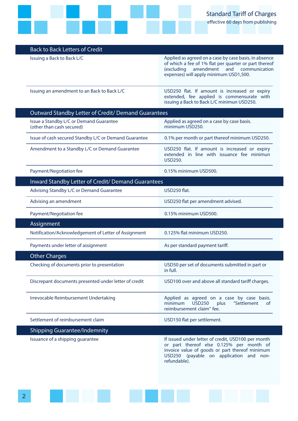

#### Back to Back Letters of Credit

Issuing a Back to Back L/C **Applied as agreed on a case by case basis**, in absence of which a fee of 1% flat per quarter or part thereof (excluding amendment and communication expenses) will apply minimum USD1,500.

Issuing an amendment to an Back to Back L/C USD250 flat. If amount is increased or expiry extended, fee applied is commensurate with issuing a Back to Back L/C minimun USD250.

| Outward Standby Letter of Credit/ Demand Guarantees                  |                                                                                                        |  |
|----------------------------------------------------------------------|--------------------------------------------------------------------------------------------------------|--|
| Issue a Standby L/C or Demand Guarantee<br>(other than cash secured) | Applied as agreed on a case by case basis.<br>minimum USD250.                                          |  |
| Issue of cash secured Standby L/C or Demand Guarantee                | 0.1% per month or part thereof minimum USD250.                                                         |  |
| Amendment to a Standby L/C or Demand Guarantee                       | USD250 flat. If amount is increased or expiry<br>extended in line with issuance fee minimun<br>USD250. |  |
|                                                                      |                                                                                                        |  |

Payment/Negotiation fee 0.15% minimum USD500.

| <b>Inward Standby Letter of Credit/ Demand Guarantees</b> |                                                       |                                                                                                                                  |
|-----------------------------------------------------------|-------------------------------------------------------|----------------------------------------------------------------------------------------------------------------------------------|
|                                                           | Advising Standby L/C or Demand Guarantee              | USD250 flat.                                                                                                                     |
|                                                           | Advising an amendment                                 | USD250 flat per amendment advised.                                                                                               |
|                                                           | Payment/Negotiation fee                               | 0.15% minimum USD500.                                                                                                            |
|                                                           | Assignment                                            |                                                                                                                                  |
|                                                           | Notification/Acknowledgement of Letter of Assignment  | 0.125% flat minimum USD250.                                                                                                      |
|                                                           | Payments under letter of assignment                   | As per standard payment tariff.                                                                                                  |
|                                                           | <b>Other Charges</b>                                  |                                                                                                                                  |
|                                                           | Checking of documents prior to presentation           | USD50 per set of documents submitted in part or<br>in full.                                                                      |
|                                                           | Discrepant documents presented under letter of credit | USD100 over and above all standard tariff charges.                                                                               |
|                                                           | Irrevocable Reimbursement Undertaking                 | Applied as agreed on a case by case basis.<br><b>USD250</b><br>minimum<br>"Settlement<br>plus<br>of<br>reimbursement claim" fee. |
|                                                           | Settlement of reimbursement claim                     | USD150 flat per settlement.                                                                                                      |
|                                                           | <b>Shipping Guarantee/Indemnity</b>                   |                                                                                                                                  |
|                                                           | Issuance of a shipping guarantee                      | If issued under letter of credit, USD100 per month<br>or part thereof else 0.125% per month of                                   |

invoice value of goods or part thereof minimum USD250 (payable on application and nonrefundable).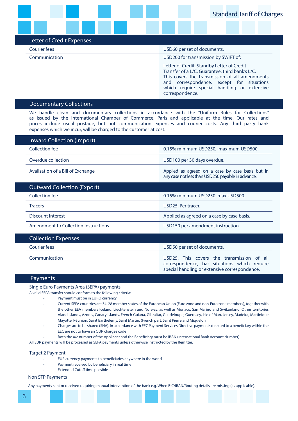#### Letter of Credit Expenses

#### Courier fees USD60 per set of documents.

Communication USD200 for transmission by SWIFT of:

Letter of Credit, Standby Letter of Credit Transfer of a L/C, Guarantee, third bank's L/C. This covers the transmission of all amendments and correspondence, except for situations which require special handling or extensive correspondence.

#### Documentary Collections

We handle clean and documentary collections in accordance with the "Uniform Rules for Collections" as issued by the International Chamber of Commerce, Paris and applicable at the time. Our rates and prices include usual postage, but not communication expenses and courier costs. Any third party bank expenses which we incur, will be charged to the customer at cost.

| Inward Collection (Import)           |                                                                                                       |  |
|--------------------------------------|-------------------------------------------------------------------------------------------------------|--|
| Collection fee                       | 0.15% minimum USD250, maximum USD500.                                                                 |  |
| Overdue collection                   | USD100 per 30 days overdue.                                                                           |  |
| Avalisation of a Bill of Exchange    | Applied as agreed on a case by case basis but in<br>any case not less than USD250 payable in advance. |  |
| <b>Outward Collection (Export)</b>   |                                                                                                       |  |
| Collection fee                       | 0.15% minimum USD250 max USD500.                                                                      |  |
| <b>Tracers</b>                       | USD25. Per tracer.                                                                                    |  |
| Discount Interest                    | Applied as agreed on a case by case basis.                                                            |  |
| Amendment to Collection Instructions | USD150 per amendment instruction                                                                      |  |
| - '' - -                             |                                                                                                       |  |

#### Collection Expenses

Courier fees USD50 per set of documents.

Communication USD25. This covers the transmission of all correspondence, bar situations which require special handling or extensive correspondence.

#### Payments

Single Euro Payments Area (SEPA) payments

A valid SEPA transfer should conform to the following criteria:

- Payment must be in EURO currency
- Current SEPA countries are 34. 28 member states of the European Union (Euro zone and non-Euro zone members), together with the other EEA members Iceland, Liechtenstein and Norway, as well as Monaco, San Marino and Switzerland. Other territories Åland Islands, Azores, Canary Islands, French Guiana, Gibraltar, Guadeloupe, Guernsey, Isle of Man, Jersey, Madeira, Martinique Mayotte, Réunion, Saint Barthélemy, Saint Martin, (French part, Saint Pierre and Miquelon
- Charges are to be shared (SHA). In accordance with EEC Payment Services Directive payments directed to a beneficiary within the EEC are not to have an OUR charges code
- Both the a/c number of the Applicant and the Beneficiary must be IBAN (International Bank Account Number)

All EUR payments will be processed as SEPA payments unless otherwise instructed by the Remitter.

#### Target 2 Payment

- EUR currency payments to beneficiaries anywhere in the world
- Payment received by beneficiary in real time
- **Extended Cutoff time possible**

#### Non STP Payments

Any payments sent or received requiring manual intervention of the bank e.g. When BIC/IBAN/Routing details are missing (as applicable).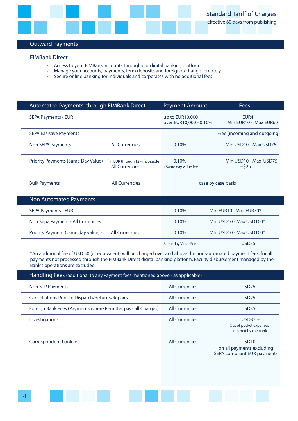

#### Outward Payments

#### **FIMBank Direct**

- Access to your FIMBank accounts through our digital banking platform
- Access to your inmually accounts through our uightal banking plation in Access to your accounts, payments, term deposits and foreign exchange remotely
- Secure online banking for individuals and corporates with no additional fees

| Automated Payments through FIMBank Direct                               |                       | <b>Payment Amount</b>                     | <b>Fees</b>                       |
|-------------------------------------------------------------------------|-----------------------|-------------------------------------------|-----------------------------------|
| <b>SEPA Payments - EUR</b>                                              |                       | up to EUR10,000<br>over EUR10,000 - 0.10% | FUR4<br>Min EUR10 - Max EUR60     |
| <b>SEPA Easisave Payments</b>                                           |                       |                                           | Free (incoming and outgoing)      |
| Non SEPA Payments                                                       | <b>All Currencies</b> | 0.10%                                     | Min USD10 - Max USD75             |
| Priority Payments (Same Day Value) - if in EUR through T2 - if possible | <b>All Currencies</b> | 0.10%<br>+Same day Value fee              | Min USD10 - Max USD75<br>$+$ \$25 |
| <b>Bulk Payments</b>                                                    | <b>All Currencies</b> |                                           | case by case basis                |
| <b>Non Automated Payments</b>                                           |                       |                                           |                                   |
| <b>SEPA Payments - EUR</b>                                              |                       | 0.10%                                     | Min EUR10 - Max EUR70*            |
| Non Sepa Payment - All Currencies                                       |                       | 0.10%                                     | Min USD10 - Max USD100*           |
| Priority Payment (same day value) -                                     | <b>All Currencies</b> | 0.10%                                     | Min USD10 - Max USD100*           |
|                                                                         |                       | Same day Value Fee                        | <b>USD35</b>                      |

\*An additional fee of USD 50 (or equivalent) will be charged over and above the non-automated payment fees, for all payments not processed through the FIMBank Direct digital banking platform. Facility disbursement managed by the Bank's operations are excluded.

| Handling Fees (additional to any Payment fees mentioned above - as applicable) |                       |                                                                               |  |
|--------------------------------------------------------------------------------|-----------------------|-------------------------------------------------------------------------------|--|
| <b>Non STP Payments</b>                                                        | <b>All Currencies</b> | USD <sub>25</sub>                                                             |  |
| Cancellations Prior to Dispatch/Returns/Repairs                                | <b>All Currencies</b> | <b>USD25</b>                                                                  |  |
| Foreign Bank Fees (Payments where Remitter pays all Charges)                   | <b>All Currencies</b> | <b>USD35</b>                                                                  |  |
| Investigations                                                                 | <b>All Currencies</b> | $USD35 +$<br>Out of pocket expenses<br>incurred by the bank                   |  |
| Correspondent bank fee                                                         | <b>All Currencies</b> | USD <sub>10</sub><br>on all payments excluding<br>SEPA compliant EUR payments |  |
|                                                                                |                       |                                                                               |  |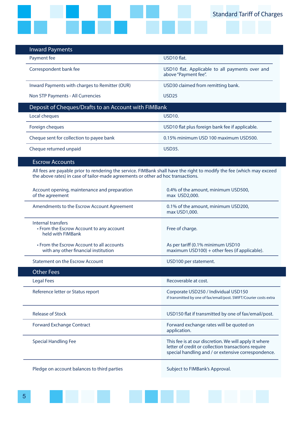

| <b>Inward Payments</b>                                                              |                                                                                                                                                                     |  |
|-------------------------------------------------------------------------------------|---------------------------------------------------------------------------------------------------------------------------------------------------------------------|--|
| Payment fee                                                                         | USD10 flat.                                                                                                                                                         |  |
| Correspondent bank fee                                                              | USD10 flat. Applicable to all payments over and<br>above "Payment fee".                                                                                             |  |
| Inward Payments with charges to Remitter (OUR)                                      | USD30 claimed from remitting bank.                                                                                                                                  |  |
| Non STP Payments - All Currencies                                                   | USD <sub>25</sub>                                                                                                                                                   |  |
| Deposit of Cheques/Drafts to an Account with FIMBank                                |                                                                                                                                                                     |  |
| Local cheques                                                                       | <b>USD10.</b>                                                                                                                                                       |  |
| Foreign cheques                                                                     | USD10 flat plus foreign bank fee if applicable.                                                                                                                     |  |
| Cheque sent for collection to payee bank                                            | 0.15% minimum USD 100 maximum USD500.                                                                                                                               |  |
| Cheque returned unpaid                                                              | <b>USD35.</b>                                                                                                                                                       |  |
| <b>Escrow Accounts</b>                                                              |                                                                                                                                                                     |  |
| the above rates) in case of tailor-made agreements or other ad hoc transactions.    | All fees are payable prior to rendering the service. FIMBank shall have the right to modify the fee (which may exceed                                               |  |
| Account opening, maintenance and preparation<br>of the agreement                    | 0.4% of the amount, minimum USD500,<br>max USD2,000.                                                                                                                |  |
| Amendments to the Escrow Account Agreement                                          | 0.1% of the amount, minimum USD200,<br>max USD1,000.                                                                                                                |  |
| Internal transfers<br>• From the Escrow Account to any account<br>held with FIMBank | Free of charge.                                                                                                                                                     |  |
| • From the Escrow Account to all accounts<br>with any other financial institution   | As per tariff (0.1% minimum USD10<br>maximum USD100) + other fees (if applicable).                                                                                  |  |
| <b>Statement on the Escrow Account</b>                                              | USD100 per statement.                                                                                                                                               |  |
| Other Fees                                                                          |                                                                                                                                                                     |  |
| <b>Legal Fees</b>                                                                   | Recoverable at cost.                                                                                                                                                |  |
| Reference letter or Status report                                                   | Corporate USD250 / Individual USD150<br>if transmitted by one of fax/email/post. SWIFT/Courier costs extra                                                          |  |
| <b>Release of Stock</b>                                                             | USD150 flat if transmitted by one of fax/email/post.                                                                                                                |  |
| <b>Forward Exchange Contract</b>                                                    | Forward exchange rates will be quoted on<br>application.                                                                                                            |  |
| <b>Special Handling Fee</b>                                                         | This fee is at our discretion. We will apply it where<br>letter of credit or collection transactions require<br>special handling and / or extensive correspondence. |  |
| Pledge on account balances to third parties                                         | Subject to FIMBank's Approval.                                                                                                                                      |  |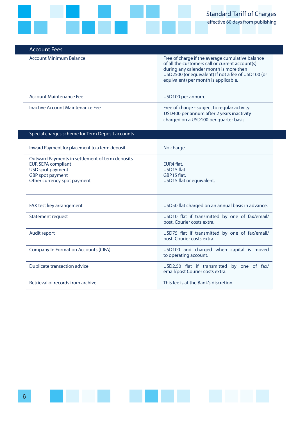

| <b>Account Fees</b>              |                                                                                                                                                                                                                                             |
|----------------------------------|---------------------------------------------------------------------------------------------------------------------------------------------------------------------------------------------------------------------------------------------|
| <b>Account Minimum Balance</b>   | Free of charge if the average cumulative balance<br>of all the customers call or current account(s)<br>during any calender month is more then<br>USD2500 (or equivalent) If not a fee of USD100 (or<br>equivalent) per month is applicable. |
| Account Maintenance Fee          | USD100 per annum.                                                                                                                                                                                                                           |
|                                  |                                                                                                                                                                                                                                             |
| Inactive Account Maintenance Fee | Free of charge - subject to regular activity.<br>USD400 per annum after 2 years inactivity<br>charged on a USD100 per quarter basis.                                                                                                        |

| No charge.                                                                    |  |
|-------------------------------------------------------------------------------|--|
| EUR4 flat.<br>USD15 flat.<br>GBP15 flat.<br>USD15 flat or equivalent.         |  |
| USD50 flat charged on an annual basis in advance.                             |  |
| USD10 flat if transmitted by one of fax/email/<br>post. Courier costs extra.  |  |
| USD75 flat if transmitted by one of fax/email/<br>post. Courier costs extra.  |  |
| USD100 and charged when capital is moved<br>to operating account.             |  |
| USD2.50 flat if transmitted by one of fax/<br>email/post Courier costs extra. |  |
| This fee is at the Bank's discretion.                                         |  |
|                                                                               |  |

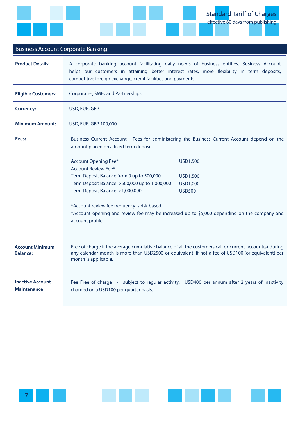

### Business Account Corporate Banking

| <b>Product Details:</b>                   | A corporate banking account facilitating daily needs of business entities. Business Account<br>helps our customers in attaining better interest rates, more flexibility in term deposits,<br>competitive foreign exchange, credit facilities and payments.                                                                                                                                                                                                                                                                                                                 |  |  |
|-------------------------------------------|----------------------------------------------------------------------------------------------------------------------------------------------------------------------------------------------------------------------------------------------------------------------------------------------------------------------------------------------------------------------------------------------------------------------------------------------------------------------------------------------------------------------------------------------------------------------------|--|--|
| <b>Eligible Customers:</b>                | <b>Corporates, SMEs and Partnerships</b>                                                                                                                                                                                                                                                                                                                                                                                                                                                                                                                                   |  |  |
| <b>Currency:</b>                          | USD, EUR, GBP                                                                                                                                                                                                                                                                                                                                                                                                                                                                                                                                                              |  |  |
| <b>Minimum Amount:</b>                    | USD, EUR, GBP 100,000                                                                                                                                                                                                                                                                                                                                                                                                                                                                                                                                                      |  |  |
| Fees:                                     | Business Current Account - Fees for administering the Business Current Account depend on the<br>amount placed on a fixed term deposit.<br><b>Account Opening Fee*</b><br><b>USD1,500</b><br><b>Account Review Fee*</b><br>Term Deposit Balance from 0 up to 500,000<br><b>USD1,500</b><br>Term Deposit Balance >500,000 up to 1,000,000<br>USD1,000<br>Term Deposit Balance >1,000,000<br><b>USD500</b><br>*Account review fee frequency is risk based.<br>*Account opening and review fee may be increased up to \$5,000 depending on the company and<br>account profile. |  |  |
| <b>Account Minimum</b><br><b>Balance:</b> | Free of charge if the average cumulative balance of all the customers call or current account(s) during<br>any calendar month is more than USD2500 or equivalent. If not a fee of USD100 (or equivalent) per<br>month is applicable.                                                                                                                                                                                                                                                                                                                                       |  |  |
| <b>Inactive Account</b><br>Maintenance    | Fee Free of charge - subject to regular activity. USD400 per annum after 2 years of inactivity<br>charged on a USD100 per quarter basis.                                                                                                                                                                                                                                                                                                                                                                                                                                   |  |  |

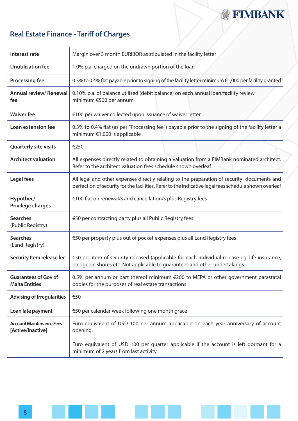## **Z FIMBANK**

## **Real Estate Finance - Tariff of Charges**

| Interest rate                                        | Margin over 3 month EURIBOR as stipulated in the facility letter                                                                                                                                     |  |
|------------------------------------------------------|------------------------------------------------------------------------------------------------------------------------------------------------------------------------------------------------------|--|
| <b>Unutilisation fee</b>                             | 1.0% p.a. charged on the undrawn portion of the loan                                                                                                                                                 |  |
| <b>Processing fee</b>                                | 0.3% to 0.4% flat payable prior to signing of the facility letter minimum €1,000 per facility granted                                                                                                |  |
| <b>Annual review/ Renewal</b><br>fee                 | 0.10% p.a. of balance utilised (debit balance) on each annual loan/facility review<br>minimum €500 per annum                                                                                         |  |
| <b>Waiver fee</b>                                    | €100 per waiver collected upon issuance of waiver letter                                                                                                                                             |  |
| Loan extension fee                                   | 0.3% to 0.4% flat (as per "Processing fee") payable prior to the signing of the facility letter a<br>minimum €1,000 is applicable                                                                    |  |
| <b>Quarterly site visits</b>                         | €250                                                                                                                                                                                                 |  |
| <b>Architect valuation</b>                           | All expenses directly related to obtaining a valuation from a FIMBank nominated architect.<br>Refer to the architect valuation fees schedule shown overleaf                                          |  |
| Legal fees                                           | All legal and other expenses directly relating to the preparation of security documents and<br>perfection of security for the facilities. Refer to the indicative legal fees schedule shown overleaf |  |
| Hypothec/<br><b>Privilege charges</b>                | €100 flat on renewal/s and cancellation/s plus Registry fees                                                                                                                                         |  |
| <b>Searches</b><br>(Public Registry)                 | €50 per contracting party plus all Public Registry fees                                                                                                                                              |  |
| <b>Searches</b><br>(Land Registry)                   | €50 per property plus out of pocket expenses plus all Land Registry fees                                                                                                                             |  |
| Security Item release fee                            | €50 per item of security released (applicable for each individual release eg. life insurance,<br>pledge on shores etc. Not applicable to guarantees and other undertakings.                          |  |
| <b>Guarantees of Gov of</b><br><b>Malta Entities</b> | 0.5% per annum or part thereof minimum €200 to MEPA or other government parastatal<br>bodies for the purposes of real estate transactions                                                            |  |
| <b>Advising of Irregularities</b>                    | €50                                                                                                                                                                                                  |  |
| Loan late payment                                    | €50 per calendar week following one month grace                                                                                                                                                      |  |
| <b>Account Maintenance Fees</b><br>[Active/Inactive] | Euro equivalent of USD 100 per annum applicable on each year anniversary of account<br>opening.                                                                                                      |  |
|                                                      | Euro equivalent of USD 100 per quarter applicable if the account is left dormant for a<br>minimum of 2 years from last activity.                                                                     |  |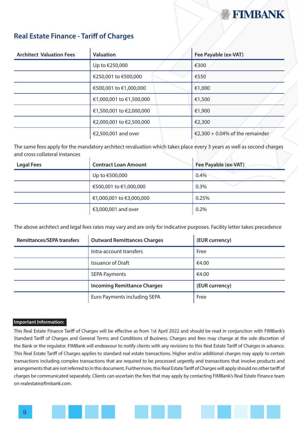

### **Real Estate Finance - Tariff of Charges**

| <b>Architect Valuation Fees</b> | <b>Valuation</b>         | Fee Payable (ex-VAT)            |
|---------------------------------|--------------------------|---------------------------------|
|                                 | Up to €250,000           | €300                            |
|                                 | €250,001 to €500,000     | €550                            |
|                                 | €500,001 to €1,000,000   | €1,000                          |
|                                 | €1,000,001 to €1,500,000 | €1,500                          |
|                                 | €1,500,001 to €2,000,000 | €1,900                          |
|                                 | €2,000,001 to €2,500,000 | €2,300                          |
|                                 | €2,500,001 and over      | €2,300 + 0.04% of the remainder |

The same fees apply for the mandatory architect revaluation which takes place every 3 years as well as second charges and cross collateral instances

| <b>Legal Fees</b> | <b>Contract Loan Amount</b> | Fee Payable (ex-VAT) |
|-------------------|-----------------------------|----------------------|
|                   | Up to €500,000              | 0.4%                 |
|                   | €500,001 to €1,000,000      | 0.3%                 |
|                   | €1,000,001 to €3,000,000    | 0.25%                |
|                   | €3,000,001 and over         | 0.2%                 |

The above architect and legal fees rates may vary and are only for indicative purposes. Facility letter takes precedence

| <b>Remittances/SEPA transfers</b> | <b>Outward Remittances Charges</b> | (EUR currency) |
|-----------------------------------|------------------------------------|----------------|
|                                   | Intra-account transfers            | Free           |
|                                   | <b>Issuance of Draft</b>           | €4.00          |
|                                   | <b>SEPA Payments</b>               | €4.00          |
|                                   | <b>Incoming Remittance Charges</b> | (EUR currency) |
|                                   | Euro Payments including SEPA       | Free           |

#### **Important Information:**

This Real Estate Finance Tariff of Charges will be effective as from 1st April 2022 and should be read in conjunction with FIMBank's Standard Tariff of Charges and General Terms and Conditions of Business. Charges and fees may change at the sole discretion of the Bank or the regulator. FIMBank will endeavour to notify clients with any revisions to this Real Estate Tariff of Charges in advance. This Real Estate Tariff of Charges applies to standard real estate transactions. Higher and/or additional charges may apply to certain transactions including complex transactions that are required to be processed urgently and transactions that involve products and arrangements that are not referred to in this document. Furthermore, this Real Estate Tariff of Charges will apply should no other tariff of charges be communicated separately. Clients can ascertain the fees that may apply by contacting FIMBank's Real Estate Finance team on realestate@fimbank.com.